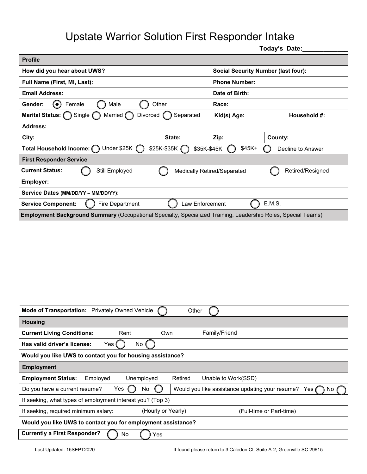## Upstate Warrior Solution First Responder Intake

**Today's Date:\_\_\_\_\_\_\_\_\_\_\_\_\_**

| <b>Profile</b>                                                                                                |                            |                                            |                                                           |  |
|---------------------------------------------------------------------------------------------------------------|----------------------------|--------------------------------------------|-----------------------------------------------------------|--|
| How did you hear about UWS?                                                                                   |                            | <b>Social Security Number (last four):</b> |                                                           |  |
| Full Name (First, MI, Last):                                                                                  |                            | <b>Phone Number:</b>                       |                                                           |  |
| <b>Email Address:</b>                                                                                         |                            | Date of Birth:                             |                                                           |  |
| $\odot$<br>Gender:<br>Female<br>Male<br>Other                                                                 |                            | Race:                                      |                                                           |  |
| <b>Marital Status:</b><br>Single (<br>Divorced<br>Married                                                     | Separated                  | Kid(s) Age:                                | Household #:                                              |  |
| <b>Address:</b>                                                                                               |                            |                                            |                                                           |  |
| City:                                                                                                         | State:                     | Zip:                                       | County:                                                   |  |
| Under \$25K<br>Total Household Income: C                                                                      | \$25K-\$35K<br>\$35K-\$45K | $$45K+$                                    | Decline to Answer                                         |  |
| <b>First Responder Service</b>                                                                                |                            |                                            |                                                           |  |
| <b>Current Status:</b><br>Still Employed                                                                      |                            | <b>Medically Retired/Separated</b>         | Retired/Resigned                                          |  |
| Employer:                                                                                                     |                            |                                            |                                                           |  |
| Service Dates (MM/DD/YY - MM/DD/YY):                                                                          |                            |                                            |                                                           |  |
| E.M.S.<br>Fire Department<br>Law Enforcement<br><b>Service Component:</b>                                     |                            |                                            |                                                           |  |
| Employment Background Summary (Occupational Specialty, Specialized Training, Leadership Roles, Special Teams) |                            |                                            |                                                           |  |
|                                                                                                               |                            |                                            |                                                           |  |
|                                                                                                               |                            |                                            |                                                           |  |
|                                                                                                               |                            |                                            |                                                           |  |
|                                                                                                               |                            |                                            |                                                           |  |
|                                                                                                               |                            |                                            |                                                           |  |
|                                                                                                               |                            |                                            |                                                           |  |
|                                                                                                               |                            |                                            |                                                           |  |
|                                                                                                               |                            |                                            |                                                           |  |
| Mode of Transportation: Privately Owned Vehicle                                                               | Other                      |                                            |                                                           |  |
| <b>Housing</b>                                                                                                |                            |                                            |                                                           |  |
| <b>Current Living Conditions:</b><br>Rent                                                                     | Own                        | Family/Friend                              |                                                           |  |
| Has valid driver's license:<br>Yes (<br>No (                                                                  |                            |                                            |                                                           |  |
| Would you like UWS to contact you for housing assistance?                                                     |                            |                                            |                                                           |  |
| <b>Employment</b>                                                                                             |                            |                                            |                                                           |  |
| <b>Employment Status:</b><br>Employed<br>Unemployed                                                           | Retired                    | Unable to Work(SSD)                        |                                                           |  |
| Yes<br>No                                                                                                     |                            |                                            |                                                           |  |
| Do you have a current resume?                                                                                 |                            |                                            | Would you like assistance updating your resume? Yes<br>No |  |
| If seeking, what types of employment interest you? (Top 3)                                                    |                            |                                            |                                                           |  |
| (Hourly or Yearly)<br>If seeking, required minimum salary:<br>(Full-time or Part-time)                        |                            |                                            |                                                           |  |
| Would you like UWS to contact you for employment assistance?                                                  |                            |                                            |                                                           |  |
| <b>Currently a First Responder?</b><br>No<br>Yes                                                              |                            |                                            |                                                           |  |